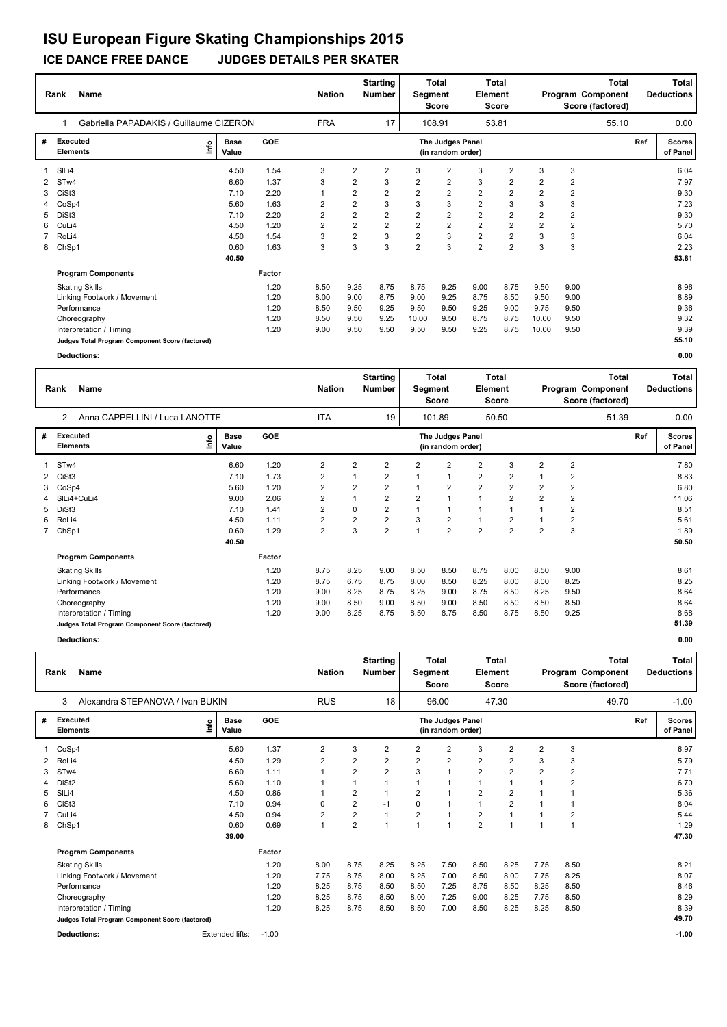## **ICE DANCE FREE DANCE JUDGES DETAILS PER SKATER**

|             | Name<br>Rank                                    | Gabriella PAPADAKIS / Guillaume CIZERON |        |                |                |                |                | <b>Total</b><br>Segment<br><b>Score</b> | <b>Element</b> | <b>Total</b><br><b>Score</b> |                |                | Total<br>Program Component<br>Score (factored) |     | Total<br><b>Deductions</b> |
|-------------|-------------------------------------------------|-----------------------------------------|--------|----------------|----------------|----------------|----------------|-----------------------------------------|----------------|------------------------------|----------------|----------------|------------------------------------------------|-----|----------------------------|
|             |                                                 |                                         |        | <b>FRA</b>     |                | 17             |                | 108.91                                  |                | 53.81                        |                |                | 55.10                                          |     | 0.00                       |
| #           | Executed<br><b>Elements</b>                     | <b>Base</b><br>lnfo<br>Value            | GOE    |                |                |                |                | The Judges Panel<br>(in random order)   |                |                              |                |                |                                                | Ref | <b>Scores</b><br>of Panel  |
|             | SIL <sub>i4</sub>                               | 4.50                                    | 1.54   | 3              | $\overline{2}$ | $\overline{2}$ | 3              | $\overline{2}$                          | 3              | $\overline{2}$               | 3              | 3              |                                                |     | 6.04                       |
| 2           | STw4                                            | 6.60                                    | 1.37   | 3              | 2              | 3              | 2              | $\overline{2}$                          | 3              | $\overline{2}$               | $\overline{2}$ | $\overline{2}$ |                                                |     | 7.97                       |
| 3           | CiSt <sub>3</sub>                               | 7.10                                    | 2.20   | 1              | $\overline{2}$ | $\overline{2}$ | $\overline{2}$ | $\overline{2}$                          | $\overline{2}$ | $\overline{2}$               | $\overline{2}$ | $\overline{2}$ |                                                |     | 9.30                       |
|             | CoSp4                                           | 5.60                                    | 1.63   | $\overline{2}$ | $\overline{2}$ | 3              | 3              | 3                                       | $\overline{2}$ | 3                            | 3              | 3              |                                                |     | 7.23                       |
| 5.          | DiSt3                                           | 7.10                                    | 2.20   | 2              | $\overline{2}$ | $\overline{2}$ | $\overline{2}$ | $\overline{2}$                          | $\overline{2}$ | $\overline{2}$               | $\overline{2}$ | $\overline{2}$ |                                                |     | 9.30                       |
| 6           | CuLi4                                           | 4.50                                    | 1.20   | 2              | $\overline{2}$ | $\overline{2}$ | $\overline{2}$ | $\overline{2}$                          | $\overline{2}$ | $\overline{2}$               | $\overline{2}$ | $\overline{2}$ |                                                |     | 5.70                       |
| $7^{\circ}$ | RoLi4                                           | 4.50                                    | 1.54   | 3              | $\overline{2}$ | 3              | $\overline{2}$ | 3                                       | $\overline{2}$ | $\overline{2}$               | 3              | 3              |                                                |     | 6.04                       |
| 8           | ChSp1                                           | 0.60                                    | 1.63   | 3              | 3              | 3              | $\overline{2}$ | 3                                       | $\overline{2}$ | $\overline{2}$               | 3              | 3              |                                                |     | 2.23                       |
|             |                                                 | 40.50                                   |        |                |                |                |                |                                         |                |                              |                |                |                                                |     | 53.81                      |
|             | <b>Program Components</b>                       |                                         | Factor |                |                |                |                |                                         |                |                              |                |                |                                                |     |                            |
|             | <b>Skating Skills</b>                           |                                         | 1.20   | 8.50           | 9.25           | 8.75           | 8.75           | 9.25                                    | 9.00           | 8.75                         | 9.50           | 9.00           |                                                |     | 8.96                       |
|             | Linking Footwork / Movement                     |                                         | 1.20   | 8.00           | 9.00           | 8.75           | 9.00           | 9.25                                    | 8.75           | 8.50                         | 9.50           | 9.00           |                                                |     | 8.89                       |
|             | Performance                                     |                                         | 1.20   | 8.50           | 9.50           | 9.25           | 9.50           | 9.50                                    | 9.25           | 9.00                         | 9.75           | 9.50           |                                                |     | 9.36                       |
|             | Choreography                                    |                                         | 1.20   | 8.50           | 9.50           | 9.25           | 10.00          | 9.50                                    | 8.75           | 8.75                         | 10.00          | 9.50           |                                                |     | 9.32                       |
|             | Interpretation / Timing                         |                                         | 1.20   | 9.00           | 9.50           | 9.50           | 9.50           | 9.50                                    | 9.25           | 8.75                         | 10.00          | 9.50           |                                                |     | 9.39                       |
|             | Judges Total Program Component Score (factored) |                                         |        |                |                |                |                |                                         |                |                              |                |                |                                                |     | 55.10                      |
|             | <b>Deductions:</b>                              |                                         |        |                |                |                |                |                                         |                |                              |                |                |                                                |     | 0.00                       |

|              | <b>Name</b><br>Rank                              |                      | <b>Nation</b> |                | <b>Starting</b><br><b>Number</b> | Segment        | Total<br><b>Score</b> | <b>Element</b>                        | <b>Total</b><br><b>Score</b> |                |                | <b>Total</b><br>Program Component<br>Score (factored) |       | Total<br><b>Deductions</b> |                           |
|--------------|--------------------------------------------------|----------------------|---------------|----------------|----------------------------------|----------------|-----------------------|---------------------------------------|------------------------------|----------------|----------------|-------------------------------------------------------|-------|----------------------------|---------------------------|
|              | Anna CAPPELLINI / Luca LANOTTE<br>$\overline{2}$ |                      |               | <b>ITA</b>     |                                  | 19             |                       | 101.89                                |                              | 50.50          |                |                                                       | 51.39 |                            | 0.00                      |
| #            | <b>Executed</b><br>lnfo<br><b>Elements</b>       | <b>Base</b><br>Value | <b>GOE</b>    |                |                                  |                |                       | The Judges Panel<br>(in random order) |                              |                |                |                                                       |       | Ref                        | <b>Scores</b><br>of Panel |
|              | ST <sub>w</sub> 4                                | 6.60                 | 1.20          | 2              | $\overline{2}$                   | $\overline{2}$ | $\overline{2}$        | 2                                     | $\overline{2}$               | 3              | $\overline{2}$ | 2                                                     |       |                            | 7.80                      |
| $\mathbf{2}$ | CiSt <sub>3</sub>                                | 7.10                 | 1.73          | 2              | 1                                | $\overline{2}$ |                       |                                       | $\overline{2}$               | $\overline{2}$ |                | 2                                                     |       |                            | 8.83                      |
| 3            | CoSp4                                            | 5.60                 | 1.20          | 2              | $\overline{2}$                   | $\overline{2}$ |                       | $\overline{2}$                        | $\overline{2}$               | 2              | $\overline{2}$ | 2                                                     |       |                            | 6.80                      |
|              | SILi4+CuLi4                                      | 9.00                 | 2.06          | $\overline{2}$ | $\mathbf{1}$                     | 2              | $\overline{2}$        |                                       | $\mathbf{1}$                 | 2              | $\overline{2}$ | $\overline{2}$                                        |       |                            | 11.06                     |
| 5            | DiSt3                                            | 7.10                 | 1.41          | 2              | 0                                | $\overline{2}$ |                       |                                       | 1                            |                |                | 2                                                     |       |                            | 8.51                      |
| 6            | RoLi4                                            | 4.50                 | 1.11          | $\overline{2}$ | $\overline{2}$                   | $\overline{2}$ | 3                     | $\overline{2}$                        | $\mathbf{1}$                 | $\overline{2}$ |                | $\overline{2}$                                        |       |                            | 5.61                      |
| $7^{\circ}$  | ChSp1                                            | 0.60                 | 1.29          | $\overline{2}$ | 3                                | $\overline{2}$ |                       | $\overline{2}$                        | $\overline{2}$               | $\overline{2}$ | $\overline{2}$ | 3                                                     |       |                            | 1.89                      |
|              |                                                  | 40.50                |               |                |                                  |                |                       |                                       |                              |                |                |                                                       |       |                            | 50.50                     |
|              | <b>Program Components</b>                        |                      | Factor        |                |                                  |                |                       |                                       |                              |                |                |                                                       |       |                            |                           |
|              | <b>Skating Skills</b>                            |                      | 1.20          | 8.75           | 8.25                             | 9.00           | 8.50                  | 8.50                                  | 8.75                         | 8.00           | 8.50           | 9.00                                                  |       |                            | 8.61                      |
|              | Linking Footwork / Movement                      |                      | 1.20          | 8.75           | 6.75                             | 8.75           | 8.00                  | 8.50                                  | 8.25                         | 8.00           | 8.00           | 8.25                                                  |       |                            | 8.25                      |
|              | Performance                                      |                      | 1.20          | 9.00           | 8.25                             | 8.75           | 8.25                  | 9.00                                  | 8.75                         | 8.50           | 8.25           | 9.50                                                  |       |                            | 8.64                      |
|              | Choreography                                     |                      | 1.20          | 9.00           | 8.50                             | 9.00           | 8.50                  | 9.00                                  | 8.50                         | 8.50           | 8.50           | 8.50                                                  |       |                            | 8.64                      |
|              | Interpretation / Timing                          |                      | 1.20          | 9.00           | 8.25                             | 8.75           | 8.50                  | 8.75                                  | 8.50                         | 8.75           | 8.50           | 9.25                                                  |       |                            | 8.68                      |
|              | Judges Total Program Component Score (factored)  |                      |               |                |                                  |                |                       |                                       |                              |                |                |                                                       |       |                            | 51.39                     |

**Deductions: 0.00**

|              | <b>Name</b><br>Rank                             | Alexandra STEPANOVA / Ivan BUKIN |            |                |                |                |                | Total<br>Segment<br><b>Score</b>      | Element        | Total<br><b>Score</b> |                |      | <b>Total</b><br>Program Component<br>Score (factored) |     | Total<br><b>Deductions</b> |
|--------------|-------------------------------------------------|----------------------------------|------------|----------------|----------------|----------------|----------------|---------------------------------------|----------------|-----------------------|----------------|------|-------------------------------------------------------|-----|----------------------------|
|              | 3                                               |                                  |            | <b>RUS</b>     |                | 18             |                | 96.00                                 |                | 47.30                 |                |      | 49.70                                                 |     | $-1.00$                    |
| #            | <b>Executed</b><br><b>Elements</b>              | <b>Base</b><br>١mfo<br>Value     | <b>GOE</b> |                |                |                |                | The Judges Panel<br>(in random order) |                |                       |                |      |                                                       | Ref | <b>Scores</b><br>of Panel  |
|              | 1 CoSp4                                         | 5.60                             | 1.37       | $\overline{2}$ | 3              | $\overline{2}$ | $\overline{2}$ | $\overline{2}$                        | 3              | $\overline{2}$        | $\overline{2}$ | 3    |                                                       |     | 6.97                       |
| $\mathbf{2}$ | RoLi4                                           | 4.50                             | 1.29       | $\overline{2}$ | $\overline{2}$ | 2              | $\overline{2}$ | 2                                     | 2              | $\overline{2}$        | 3              | 3    |                                                       |     | 5.79                       |
| 3            | ST <sub>w</sub> 4                               | 6.60                             | 1.11       | $\overline{1}$ | 2              | 2              | 3              |                                       | 2              | 2                     | 2              | 2    |                                                       |     | 7.71                       |
| 4            | DiSt <sub>2</sub>                               | 5.60                             | 1.10       |                |                |                |                |                                       | 1              |                       |                | 2    |                                                       |     | 6.70                       |
| 5            | SIL <sub>i4</sub>                               | 4.50                             | 0.86       |                | 2              |                | 2              |                                       | 2              | $\overline{2}$        |                |      |                                                       |     | 5.36                       |
| 6            | CiSt <sub>3</sub>                               | 7.10                             | 0.94       | 0              | 2              | $-1$           | 0              | 1                                     | 1              | $\overline{2}$        |                |      |                                                       |     | 8.04                       |
|              | CuLi4                                           | 4.50                             | 0.94       | $\overline{2}$ | 2              |                | $\overline{2}$ |                                       | 2              |                       |                | 2    |                                                       |     | 5.44                       |
| 8            | ChSp1                                           | 0.60                             | 0.69       | $\mathbf{1}$   | $\overline{2}$ |                |                | $\overline{ }$                        | $\overline{2}$ | 1                     |                | 1    |                                                       |     | 1.29                       |
|              |                                                 | 39.00                            |            |                |                |                |                |                                       |                |                       |                |      |                                                       |     | 47.30                      |
|              | <b>Program Components</b>                       |                                  | Factor     |                |                |                |                |                                       |                |                       |                |      |                                                       |     |                            |
|              | <b>Skating Skills</b>                           |                                  | 1.20       | 8.00           | 8.75           | 8.25           | 8.25           | 7.50                                  | 8.50           | 8.25                  | 7.75           | 8.50 |                                                       |     | 8.21                       |
|              | Linking Footwork / Movement                     |                                  | 1.20       | 7.75           | 8.75           | 8.00           | 8.25           | 7.00                                  | 8.50           | 8.00                  | 7.75           | 8.25 |                                                       |     | 8.07                       |
|              | Performance                                     |                                  | 1.20       | 8.25           | 8.75           | 8.50           | 8.50           | 7.25                                  | 8.75           | 8.50                  | 8.25           | 8.50 |                                                       |     | 8.46                       |
|              | Choreography                                    |                                  | 1.20       | 8.25           | 8.75           | 8.50           | 8.00           | 7.25                                  | 9.00           | 8.25                  | 7.75           | 8.50 |                                                       |     | 8.29                       |
|              | Interpretation / Timing                         |                                  | 1.20       | 8.25           | 8.75           | 8.50           | 8.50           | 7.00                                  | 8.50           | 8.25                  | 8.25           | 8.50 |                                                       |     | 8.39                       |
|              | Judges Total Program Component Score (factored) |                                  |            |                |                |                |                |                                       |                |                       |                |      |                                                       |     | 49.70                      |
|              | <b>Deductions:</b>                              | <b>Extended lifts:</b>           | $-1.00$    |                |                |                |                |                                       |                |                       |                |      |                                                       |     | $-1.00$                    |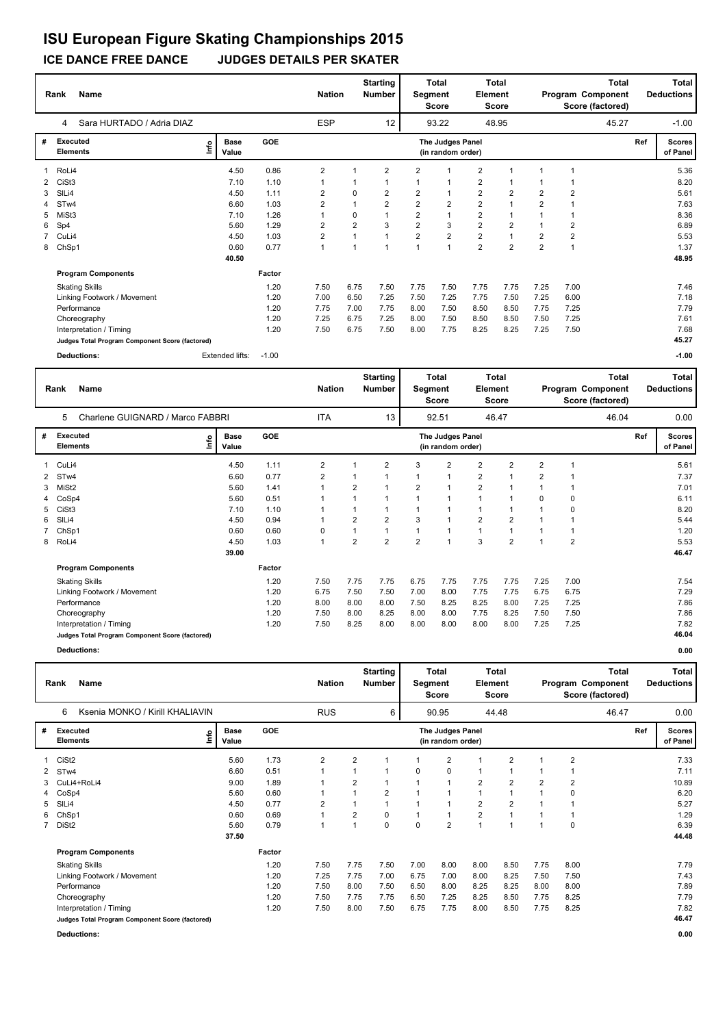### **ICE DANCE FREE DANCE JUDGES DETAILS PER SKATER**

|   | Rank<br><b>Name</b>                             |                              |         | <b>Nation</b>  |                         | <b>Starting</b><br><b>Number</b> | Segment        | <b>Total</b><br><b>Score</b>          | <b>Element</b> | <b>Total</b><br><b>Score</b> |                | Program Component<br>Score (factored) | <b>Total</b> |     | Total<br><b>Deductions</b> |
|---|-------------------------------------------------|------------------------------|---------|----------------|-------------------------|----------------------------------|----------------|---------------------------------------|----------------|------------------------------|----------------|---------------------------------------|--------------|-----|----------------------------|
|   | Sara HURTADO / Adria DIAZ<br>4                  |                              |         | <b>ESP</b>     |                         | 12                               |                | 93.22                                 |                | 48.95                        |                |                                       | 45.27        |     | $-1.00$                    |
| # | Executed<br><b>Elements</b>                     | <b>Base</b><br>١nfo<br>Value | GOE     |                |                         |                                  |                | The Judges Panel<br>(in random order) |                |                              |                |                                       |              | Ref | <b>Scores</b><br>of Panel  |
|   | RoLi4                                           | 4.50                         | 0.86    | 2              |                         | 2                                | 2              |                                       | $\overline{2}$ |                              | 1              |                                       |              |     | 5.36                       |
| 2 | CiSt <sub>3</sub>                               | 7.10                         | 1.10    | 1              |                         |                                  | 1              | -1                                    | $\overline{2}$ |                              |                |                                       |              |     | 8.20                       |
| 3 | SIL <sub>i4</sub>                               | 4.50                         | 1.11    | $\overline{2}$ | 0                       | 2                                | 2              | -1                                    | $\overline{2}$ | $\overline{2}$               | $\overline{2}$ | $\overline{2}$                        |              |     | 5.61                       |
|   | ST <sub>w</sub> 4                               | 6.60                         | 1.03    | $\overline{2}$ |                         | $\overline{2}$                   | $\overline{2}$ | $\overline{2}$                        | $\overline{2}$ |                              | $\overline{2}$ |                                       |              |     | 7.63                       |
| 5 | MiSt3                                           | 7.10                         | 1.26    | 1              | 0                       |                                  | $\overline{2}$ | $\mathbf{1}$                          | $\overline{2}$ |                              |                |                                       |              |     | 8.36                       |
| 6 | Sp4                                             | 5.60                         | 1.29    | $\overline{2}$ | $\overline{\mathbf{c}}$ | 3                                | $\overline{2}$ | 3                                     | $\overline{2}$ | $\overline{2}$               |                | $\overline{c}$                        |              |     | 6.89                       |
|   | CuLi4                                           | 4.50                         | 1.03    | 2              |                         |                                  | $\overline{2}$ | $\overline{2}$                        | $\overline{2}$ | 1                            | $\overline{2}$ | $\overline{2}$                        |              |     | 5.53                       |
| 8 | ChSp1                                           | 0.60                         | 0.77    | $\mathbf{1}$   |                         | 1                                |                | $\overline{1}$                        | $\overline{2}$ | $\overline{2}$               | $\overline{2}$ |                                       |              |     | 1.37                       |
|   |                                                 | 40.50                        |         |                |                         |                                  |                |                                       |                |                              |                |                                       |              |     | 48.95                      |
|   | <b>Program Components</b>                       |                              | Factor  |                |                         |                                  |                |                                       |                |                              |                |                                       |              |     |                            |
|   | <b>Skating Skills</b>                           |                              | 1.20    | 7.50           | 6.75                    | 7.50                             | 7.75           | 7.50                                  | 7.75           | 7.75                         | 7.25           | 7.00                                  |              |     | 7.46                       |
|   | Linking Footwork / Movement                     |                              | 1.20    | 7.00           | 6.50                    | 7.25                             | 7.50           | 7.25                                  | 7.75           | 7.50                         | 7.25           | 6.00                                  |              |     | 7.18                       |
|   | Performance                                     |                              | 1.20    | 7.75           | 7.00                    | 7.75                             | 8.00           | 7.50                                  | 8.50           | 8.50                         | 7.75           | 7.25                                  |              |     | 7.79                       |
|   | Choreography                                    |                              | 1.20    | 7.25           | 6.75                    | 7.25                             | 8.00           | 7.50                                  | 8.50           | 8.50                         | 7.50           | 7.25                                  |              |     | 7.61                       |
|   | Interpretation / Timing                         |                              | 1.20    | 7.50           | 6.75                    | 7.50                             | 8.00           | 7.75                                  | 8.25           | 8.25                         | 7.25           | 7.50                                  |              |     | 7.68                       |
|   | Judges Total Program Component Score (factored) |                              |         |                |                         |                                  |                |                                       |                |                              |                |                                       |              |     | 45.27                      |
|   | <b>Deductions:</b>                              | Extended lifts:              | $-1.00$ |                |                         |                                  |                |                                       |                |                              |                |                                       |              |     | $-1.00$                    |

|   | <b>Name</b><br>Rank                             |                            |        | <b>Nation</b>           |                | <b>Starting</b><br><b>Number</b> | Segment        | Total<br>Score                        | Element        | <b>Total</b><br>Score |                |                | <b>Total</b><br>Program Component<br>Score (factored) |     | <b>Total</b><br><b>Deductions</b> |
|---|-------------------------------------------------|----------------------------|--------|-------------------------|----------------|----------------------------------|----------------|---------------------------------------|----------------|-----------------------|----------------|----------------|-------------------------------------------------------|-----|-----------------------------------|
|   | Charlene GUIGNARD / Marco FABBRI<br>5           |                            |        | <b>ITA</b>              |                | 13                               |                | 92.51                                 |                | 46.47                 |                |                | 46.04                                                 |     | 0.00                              |
| # | <b>Executed</b><br><b>Elements</b>              | <b>Base</b><br>۴ů<br>Value | GOE    |                         |                |                                  |                | The Judges Panel<br>(in random order) |                |                       |                |                |                                                       | Ref | <b>Scores</b><br>of Panel         |
|   | CuLi4                                           | 4.50                       | 1.11   | $\overline{\mathbf{c}}$ |                | $\overline{2}$                   | 3              | 2                                     | $\overline{2}$ | 2                     | $\overline{2}$ |                |                                                       |     | 5.61                              |
| 2 | STw4                                            | 6.60                       | 0.77   | $\overline{2}$          |                | 1                                |                |                                       | $\overline{2}$ | 1                     | $\overline{2}$ |                |                                                       |     | 7.37                              |
| 3 | MiSt <sub>2</sub>                               | 5.60                       | 1.41   |                         | $\overline{2}$ |                                  | $\overline{2}$ |                                       | $\overline{2}$ |                       |                |                |                                                       |     | 7.01                              |
|   | CoSp4                                           | 5.60                       | 0.51   |                         |                |                                  |                |                                       |                |                       | 0              | 0              |                                                       |     | 6.11                              |
| 5 | CiSt <sub>3</sub>                               | 7.10                       | 1.10   |                         |                |                                  |                |                                       |                |                       |                | O              |                                                       |     | 8.20                              |
| 6 | SILi4                                           | 4.50                       | 0.94   |                         | $\overline{2}$ | $\overline{2}$                   | 3              |                                       | $\overline{2}$ | $\overline{2}$        |                |                |                                                       |     | 5.44                              |
|   | ChSp1                                           | 0.60                       | 0.60   | 0                       |                | 1                                |                |                                       |                |                       |                |                |                                                       |     | 1.20                              |
|   | 8 RoLi4                                         | 4.50                       | 1.03   | $\mathbf{1}$            | $\overline{2}$ | 2                                | $\overline{2}$ |                                       | 3              | $\overline{2}$        |                | $\overline{2}$ |                                                       |     | 5.53                              |
|   |                                                 | 39.00                      |        |                         |                |                                  |                |                                       |                |                       |                |                |                                                       |     | 46.47                             |
|   | <b>Program Components</b>                       |                            | Factor |                         |                |                                  |                |                                       |                |                       |                |                |                                                       |     |                                   |
|   | <b>Skating Skills</b>                           |                            | 1.20   | 7.50                    | 7.75           | 7.75                             | 6.75           | 7.75                                  | 7.75           | 7.75                  | 7.25           | 7.00           |                                                       |     | 7.54                              |
|   | Linking Footwork / Movement                     |                            | 1.20   | 6.75                    | 7.50           | 7.50                             | 7.00           | 8.00                                  | 7.75           | 7.75                  | 6.75           | 6.75           |                                                       |     | 7.29                              |
|   | Performance                                     |                            | 1.20   | 8.00                    | 8.00           | 8.00                             | 7.50           | 8.25                                  | 8.25           | 8.00                  | 7.25           | 7.25           |                                                       |     | 7.86                              |
|   | Choreography                                    |                            | 1.20   | 7.50                    | 8.00           | 8.25                             | 8.00           | 8.00                                  | 7.75           | 8.25                  | 7.50           | 7.50           |                                                       |     | 7.86                              |
|   | Interpretation / Timing                         |                            | 1.20   | 7.50                    | 8.25           | 8.00                             | 8.00           | 8.00                                  | 8.00           | 8.00                  | 7.25           | 7.25           |                                                       |     | 7.82                              |
|   | Judges Total Program Component Score (factored) |                            |        |                         |                |                                  |                |                                       |                |                       |                |                |                                                       |     | 46.04                             |
|   |                                                 |                            |        |                         |                |                                  |                |                                       |                |                       |                |                |                                                       |     |                                   |

**Deductions: 0.00**

|   | <b>Name</b><br>Rank                             |   | <b>Nation</b>        |            | <b>Starting</b><br>Number | Segment        | <b>Total</b><br><b>Score</b> | Element  | <b>Total</b><br>Score                 |                |                | <b>Total</b><br>Program Component<br>Score (factored) |                | Total<br><b>Deductions</b> |     |                           |
|---|-------------------------------------------------|---|----------------------|------------|---------------------------|----------------|------------------------------|----------|---------------------------------------|----------------|----------------|-------------------------------------------------------|----------------|----------------------------|-----|---------------------------|
|   | Ksenia MONKO / Kirill KHALIAVIN<br>6            |   |                      |            | <b>RUS</b>                |                | 6                            |          | 90.95                                 |                | 44.48          |                                                       |                | 46.47                      |     | 0.00                      |
| # | Executed<br><b>Elements</b>                     | e | <b>Base</b><br>Value | <b>GOE</b> |                           |                |                              |          | The Judges Panel<br>(in random order) |                |                |                                                       |                |                            | Ref | <b>Scores</b><br>of Panel |
| 1 | CiSt <sub>2</sub>                               |   | 5.60                 | 1.73       | $\overline{2}$            | $\overline{2}$ | 1                            |          | $\overline{2}$                        | 1              | $\overline{2}$ |                                                       | $\overline{2}$ |                            |     | 7.33                      |
| 2 | STw4                                            |   | 6.60                 | 0.51       | 1                         | $\mathbf 1$    | 1                            | $\Omega$ | 0                                     | $\mathbf 1$    |                |                                                       |                |                            |     | 7.11                      |
| 3 | CuLi4+RoLi4                                     |   | 9.00                 | 1.89       |                           | $\overline{2}$ | 1                            |          | $\overline{1}$                        | $\overline{2}$ | $\overline{2}$ | $\overline{2}$                                        | $\overline{2}$ |                            |     | 10.89                     |
| 4 | CoSp4                                           |   | 5.60                 | 0.60       |                           | $\mathbf{1}$   | $\overline{2}$               |          | $\overline{1}$                        | $\mathbf{1}$   |                |                                                       | 0              |                            |     | 6.20                      |
| 5 | SILi4                                           |   | 4.50                 | 0.77       | $\overline{2}$            |                | 1                            |          | 1                                     | $\overline{2}$ | $\overline{2}$ |                                                       |                |                            |     | 5.27                      |
| 6 | ChSp1                                           |   | 0.60                 | 0.69       |                           | 2              | 0                            |          | 1                                     | $\overline{2}$ |                |                                                       | $\mathbf 1$    |                            |     | 1.29                      |
|   | 7 DiSt2                                         |   | 5.60                 | 0.79       | 1                         | $\overline{1}$ | $\Omega$                     | $\Omega$ | $\overline{2}$                        | $\overline{1}$ |                |                                                       | 0              |                            |     | 6.39                      |
|   |                                                 |   | 37.50                |            |                           |                |                              |          |                                       |                |                |                                                       |                |                            |     | 44.48                     |
|   | <b>Program Components</b>                       |   |                      | Factor     |                           |                |                              |          |                                       |                |                |                                                       |                |                            |     |                           |
|   | <b>Skating Skills</b>                           |   |                      | 1.20       | 7.50                      | 7.75           | 7.50                         | 7.00     | 8.00                                  | 8.00           | 8.50           | 7.75                                                  | 8.00           |                            |     | 7.79                      |
|   | Linking Footwork / Movement                     |   |                      | 1.20       | 7.25                      | 7.75           | 7.00                         | 6.75     | 7.00                                  | 8.00           | 8.25           | 7.50                                                  | 7.50           |                            |     | 7.43                      |
|   | Performance                                     |   |                      | 1.20       | 7.50                      | 8.00           | 7.50                         | 6.50     | 8.00                                  | 8.25           | 8.25           | 8.00                                                  | 8.00           |                            |     | 7.89                      |
|   | Choreography                                    |   |                      | 1.20       | 7.50                      | 7.75           | 7.75                         | 6.50     | 7.25                                  | 8.25           | 8.50           | 7.75                                                  | 8.25           |                            |     | 7.79                      |
|   | Interpretation / Timing                         |   |                      | 1.20       | 7.50                      | 8.00           | 7.50                         | 6.75     | 7.75                                  | 8.00           | 8.50           | 7.75                                                  | 8.25           |                            |     | 7.82                      |
|   | Judges Total Program Component Score (factored) |   |                      |            |                           |                |                              |          |                                       |                |                |                                                       |                |                            |     | 46.47                     |
|   | Deductions:                                     |   |                      |            |                           |                |                              |          |                                       |                |                |                                                       |                |                            |     | 0.00                      |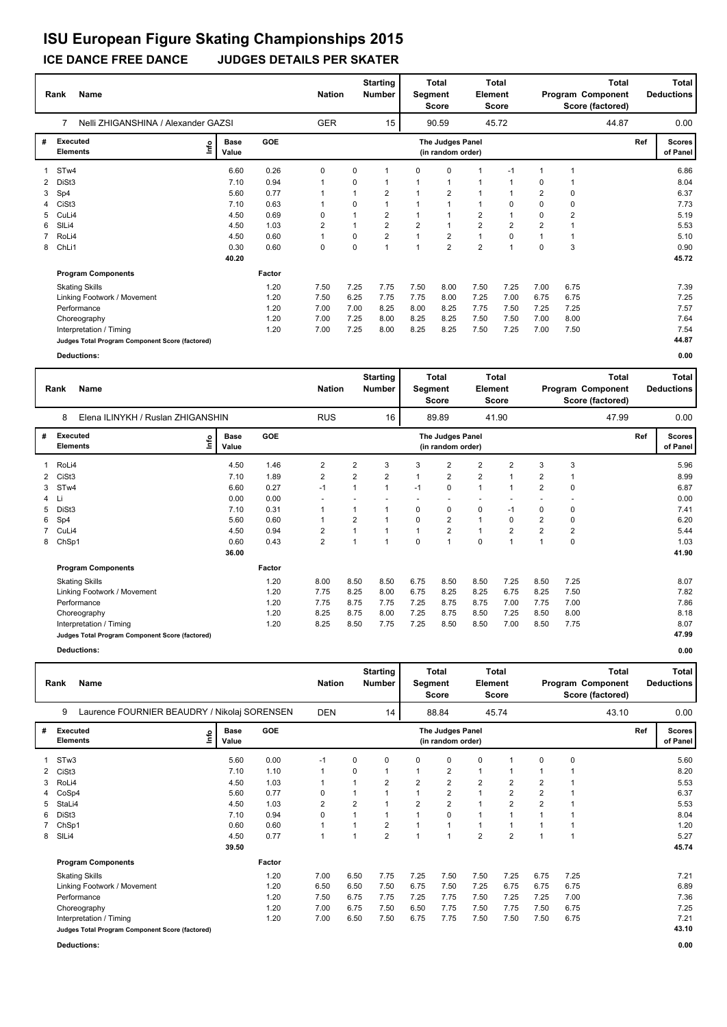### **ICE DANCE FREE DANCE JUDGES DETAILS PER SKATER**

|   | Name<br>Rank                                    | <b>Nation</b>                |        | <b>Starting</b><br><b>Number</b> |      | <b>Total</b><br>Segment<br><b>Score</b> | Element        | <b>Total</b><br><b>Score</b>          |                |                | <b>Total</b><br>Program Component<br>Score (factored) |                | Total<br><b>Deductions</b> |     |                           |
|---|-------------------------------------------------|------------------------------|--------|----------------------------------|------|-----------------------------------------|----------------|---------------------------------------|----------------|----------------|-------------------------------------------------------|----------------|----------------------------|-----|---------------------------|
|   | Nelli ZHIGANSHINA / Alexander GAZSI<br>7        |                              |        | <b>GER</b>                       |      | 15                                      |                | 90.59                                 |                | 45.72          |                                                       |                | 44.87                      |     | 0.00                      |
| # | <b>Executed</b><br><b>Elements</b>              | <b>Base</b><br>١nf٥<br>Value | GOE    |                                  |      |                                         |                | The Judges Panel<br>(in random order) |                |                |                                                       |                |                            | Ref | <b>Scores</b><br>of Panel |
|   | ST <sub>w</sub> 4                               | 6.60                         | 0.26   | 0                                | 0    | 1                                       | 0              | $\mathbf 0$                           | 1              | $-1$           | 1                                                     |                |                            |     | 6.86                      |
| 2 | DiSt3                                           | 7.10                         | 0.94   | 1                                | 0    |                                         |                | -1                                    | 1              |                | $\Omega$                                              |                |                            |     | 8.04                      |
| 3 | Sp4                                             | 5.60                         | 0.77   |                                  |      | $\overline{2}$                          |                | $\overline{2}$                        |                |                | $\overline{2}$                                        | 0              |                            |     | 6.37                      |
| 4 | CiSt <sub>3</sub>                               | 7.10                         | 0.63   | 1                                | 0    |                                         |                | $\overline{1}$                        | $\mathbf{1}$   | $\mathbf 0$    | 0                                                     | 0              |                            |     | 7.73                      |
| 5 | CuLi4                                           | 4.50                         | 0.69   | 0                                |      | $\overline{2}$                          |                |                                       | $\overline{2}$ |                | 0                                                     | $\overline{2}$ |                            |     | 5.19                      |
| 6 | SIL <sub>i4</sub>                               | 4.50                         | 1.03   | $\overline{2}$                   |      | $\overline{2}$                          | $\overline{2}$ | $\overline{1}$                        | $\overline{2}$ | $\overline{2}$ | $\overline{2}$                                        |                |                            |     | 5.53                      |
|   | RoLi4                                           | 4.50                         | 0.60   | 1                                | 0    | $\overline{2}$                          | 1              | $\overline{2}$                        | $\mathbf{1}$   | $\mathbf 0$    | 1                                                     |                |                            |     | 5.10                      |
| 8 | ChLi1                                           | 0.30                         | 0.60   | 0                                | 0    | 1                                       | 1              | $\overline{2}$                        | $\overline{2}$ | $\overline{1}$ | $\Omega$                                              | 3              |                            |     | 0.90                      |
|   |                                                 | 40.20                        |        |                                  |      |                                         |                |                                       |                |                |                                                       |                |                            |     | 45.72                     |
|   | <b>Program Components</b>                       |                              | Factor |                                  |      |                                         |                |                                       |                |                |                                                       |                |                            |     |                           |
|   | <b>Skating Skills</b>                           |                              | 1.20   | 7.50                             | 7.25 | 7.75                                    | 7.50           | 8.00                                  | 7.50           | 7.25           | 7.00                                                  | 6.75           |                            |     | 7.39                      |
|   | Linking Footwork / Movement                     |                              | 1.20   | 7.50                             | 6.25 | 7.75                                    | 7.75           | 8.00                                  | 7.25           | 7.00           | 6.75                                                  | 6.75           |                            |     | 7.25                      |
|   | Performance                                     |                              | 1.20   | 7.00                             | 7.00 | 8.25                                    | 8.00           | 8.25                                  | 7.75           | 7.50           | 7.25                                                  | 7.25           |                            |     | 7.57                      |
|   | Choreography                                    |                              | 1.20   | 7.00                             | 7.25 | 8.00                                    | 8.25           | 8.25                                  | 7.50           | 7.50           | 7.00                                                  | 8.00           |                            |     | 7.64                      |
|   | Interpretation / Timing                         |                              | 1.20   | 7.00                             | 7.25 | 8.00                                    | 8.25           | 8.25                                  | 7.50           | 7.25           | 7.00                                                  | 7.50           |                            |     | 7.54                      |
|   | Judges Total Program Component Score (factored) |                              |        |                                  |      |                                         |                |                                       |                |                |                                                       |                |                            |     | 44.87                     |
|   | <b>Deductions:</b>                              |                              |        |                                  |      |                                         |                |                                       |                |                |                                                       |                |                            |     | 0.00                      |

|   | Name<br>Rank                                    |             | <b>Nation</b>        |            | <b>Starting</b><br>Number | Segment        | Total<br><b>Score</b>   | Element | Total<br>Score                        |                          |                | Total<br>Program Component<br>Score (factored) |                | <b>Total</b><br><b>Deductions</b> |     |                           |
|---|-------------------------------------------------|-------------|----------------------|------------|---------------------------|----------------|-------------------------|---------|---------------------------------------|--------------------------|----------------|------------------------------------------------|----------------|-----------------------------------|-----|---------------------------|
|   | 8<br>Elena ILINYKH / Ruslan ZHIGANSHIN          |             |                      |            | <b>RUS</b>                |                | 16                      |         | 89.89                                 |                          | 41.90          |                                                |                | 47.99                             |     | 0.00                      |
| # | Executed<br><b>Elements</b>                     | <u>info</u> | <b>Base</b><br>Value | <b>GOE</b> |                           |                |                         |         | The Judges Panel<br>(in random order) |                          |                |                                                |                |                                   | Ref | <b>Scores</b><br>of Panel |
|   | RoLi4                                           |             | 4.50                 | 1.46       | 2                         | $\overline{2}$ | 3                       | 3       | 2                                     | $\overline{c}$           | 2              | 3                                              | 3              |                                   |     | 5.96                      |
| 2 | CiSt <sub>3</sub>                               |             | 7.10                 | 1.89       | $\overline{c}$            | $\overline{2}$ | $\overline{\mathbf{c}}$ | 1       | 2                                     | $\overline{2}$           |                | 2                                              |                |                                   |     | 8.99                      |
| 3 | ST <sub>w</sub> 4                               |             | 6.60                 | 0.27       | $-1$                      | 1              | 1                       | $-1$    | $\Omega$                              | $\mathbf{1}$             |                | $\overline{\mathbf{c}}$                        | $\Omega$       |                                   |     | 6.87                      |
| 4 | Li                                              |             | 0.00                 | 0.00       |                           |                |                         |         |                                       | $\overline{\phantom{a}}$ |                |                                                |                |                                   |     | 0.00                      |
| 5 | DiSt3                                           |             | 7.10                 | 0.31       |                           | 1              | 1                       | 0       | 0                                     | 0                        | $-1$           | 0                                              | 0              |                                   |     | 7.41                      |
| 6 | Sp4                                             |             | 5.60                 | 0.60       | $\mathbf{1}$              | $\overline{2}$ | 1                       | 0       | $\overline{2}$                        | $\mathbf{1}$             | 0              | $\overline{2}$                                 | 0              |                                   |     | 6.20                      |
|   | CuLi4                                           |             | 4.50                 | 0.94       | 2                         | 1              | $\overline{1}$          | 1       | $\overline{2}$                        | $\mathbf{1}$             | $\overline{2}$ | $\overline{2}$                                 | $\overline{2}$ |                                   |     | 5.44                      |
| 8 | ChSp1                                           |             | 0.60                 | 0.43       | $\overline{2}$            | 1              | 1                       | 0       | $\overline{1}$                        | $\mathbf 0$              |                |                                                | 0              |                                   |     | 1.03                      |
|   |                                                 |             | 36.00                |            |                           |                |                         |         |                                       |                          |                |                                                |                |                                   |     | 41.90                     |
|   | <b>Program Components</b>                       |             |                      | Factor     |                           |                |                         |         |                                       |                          |                |                                                |                |                                   |     |                           |
|   | <b>Skating Skills</b>                           |             |                      | 1.20       | 8.00                      | 8.50           | 8.50                    | 6.75    | 8.50                                  | 8.50                     | 7.25           | 8.50                                           | 7.25           |                                   |     | 8.07                      |
|   | Linking Footwork / Movement                     |             |                      | 1.20       | 7.75                      | 8.25           | 8.00                    | 6.75    | 8.25                                  | 8.25                     | 6.75           | 8.25                                           | 7.50           |                                   |     | 7.82                      |
|   | Performance                                     |             |                      | 1.20       | 7.75                      | 8.75           | 7.75                    | 7.25    | 8.75                                  | 8.75                     | 7.00           | 7.75                                           | 7.00           |                                   |     | 7.86                      |
|   | Choreography                                    |             |                      | 1.20       | 8.25                      | 8.75           | 8.00                    | 7.25    | 8.75                                  | 8.50                     | 7.25           | 8.50                                           | 8.00           |                                   |     | 8.18                      |
|   | Interpretation / Timing                         |             |                      | 1.20       | 8.25                      | 8.50           | 7.75                    | 7.25    | 8.50                                  | 8.50                     | 7.00           | 8.50                                           | 7.75           |                                   |     | 8.07                      |
|   | Judges Total Program Component Score (factored) |             |                      |            |                           |                |                         |         |                                       |                          |                |                                                |                |                                   |     | 47.99                     |
|   | <b>Deductions:</b>                              |             |                      |            |                           |                |                         |         |                                       |                          |                |                                                |                |                                   |     | 0.00                      |

|   | Rank              | <b>Name</b><br>Laurence FOURNIER BEAUDRY / Nikolaj SORENSEN<br>9 |    |                      |            | <b>Nation</b> |                | <b>Starting</b><br>Number | Segment        | <b>Total</b><br>Score                 | Element        | Total<br><b>Score</b> |                |      | Total<br>Program Component<br>Score (factored) |     | Total<br><b>Deductions</b> |
|---|-------------------|------------------------------------------------------------------|----|----------------------|------------|---------------|----------------|---------------------------|----------------|---------------------------------------|----------------|-----------------------|----------------|------|------------------------------------------------|-----|----------------------------|
|   |                   |                                                                  |    |                      |            | <b>DEN</b>    |                | 14                        |                | 88.84                                 |                | 45.74                 |                |      | 43.10                                          |     | 0.00                       |
| # |                   | <b>Executed</b><br><b>Elements</b>                               | ۴ů | <b>Base</b><br>Value | <b>GOE</b> |               |                |                           |                | The Judges Panel<br>(in random order) |                |                       |                |      |                                                | Ref | <b>Scores</b><br>of Panel  |
|   | ST <sub>w</sub> 3 |                                                                  |    | 5.60                 | 0.00       | $-1$          | 0              | 0                         | 0              | 0                                     | 0              | 1                     | 0              | 0    |                                                |     | 5.60                       |
|   | CiSt <sub>3</sub> |                                                                  |    | 7.10                 | 1.10       |               | 0              |                           | 1              | $\overline{2}$                        | 1              | 1                     |                |      |                                                |     | 8.20                       |
| 3 | RoLi4             |                                                                  |    | 4.50                 | 1.03       |               | $\overline{1}$ | 2                         | $\overline{2}$ | $\overline{2}$                        | $\overline{2}$ | $\overline{2}$        | $\overline{2}$ | 1    |                                                |     | 5.53                       |
|   | CoSp4             |                                                                  |    | 5.60                 | 0.77       | 0             | 1              |                           | $\mathbf{1}$   | $\overline{2}$                        | $\mathbf{1}$   | 2                     | $\overline{2}$ | 1    |                                                |     | 6.37                       |
| 5 | StaLi4            |                                                                  |    | 4.50                 | 1.03       | 2             | $\overline{2}$ | $\overline{1}$            | $\overline{2}$ | $\overline{2}$                        | $\mathbf{1}$   | $\overline{2}$        | $\overline{2}$ | -1   |                                                |     | 5.53                       |
| 6 | DiSt3             |                                                                  |    | 7.10                 | 0.94       | 0             | 1              | $\mathbf{1}$              | $\mathbf{1}$   | 0                                     | 1              | $\mathbf 1$           |                |      |                                                |     | 8.04                       |
|   | ChSp1             |                                                                  |    | 0.60                 | 0.60       | 1             | 1              | $\overline{2}$            | $\overline{1}$ | $\overline{1}$                        | 1              | $\overline{1}$        |                | 1    |                                                |     | 1.20                       |
| 8 | SIL <sub>i4</sub> |                                                                  |    | 4.50                 | 0.77       | 1             | 1              | $\overline{2}$            | $\mathbf{1}$   | 1                                     | $\overline{2}$ | $\overline{2}$        | $\mathbf 1$    | 1    |                                                |     | 5.27                       |
|   |                   |                                                                  |    | 39.50                |            |               |                |                           |                |                                       |                |                       |                |      |                                                |     | 45.74                      |
|   |                   | <b>Program Components</b>                                        |    |                      | Factor     |               |                |                           |                |                                       |                |                       |                |      |                                                |     |                            |
|   |                   | <b>Skating Skills</b>                                            |    |                      | 1.20       | 7.00          | 6.50           | 7.75                      | 7.25           | 7.50                                  | 7.50           | 7.25                  | 6.75           | 7.25 |                                                |     | 7.21                       |
|   |                   | Linking Footwork / Movement                                      |    |                      | 1.20       | 6.50          | 6.50           | 7.50                      | 6.75           | 7.50                                  | 7.25           | 6.75                  | 6.75           | 6.75 |                                                |     | 6.89                       |
|   |                   | Performance                                                      |    |                      | 1.20       | 7.50          | 6.75           | 7.75                      | 7.25           | 7.75                                  | 7.50           | 7.25                  | 7.25           | 7.00 |                                                |     | 7.36                       |
|   |                   | Choreography                                                     |    |                      | 1.20       | 7.00          | 6.75           | 7.50                      | 6.50           | 7.75                                  | 7.50           | 7.75                  | 7.50           | 6.75 |                                                |     | 7.25                       |
|   |                   | Interpretation / Timing                                          |    |                      | 1.20       | 7.00          | 6.50           | 7.50                      | 6.75           | 7.75                                  | 7.50           | 7.50                  | 7.50           | 6.75 |                                                |     | 7.21                       |
|   |                   | Judges Total Program Component Score (factored)                  |    |                      |            |               |                |                           |                |                                       |                |                       |                |      |                                                |     | 43.10                      |
|   |                   | Deductions:                                                      |    |                      |            |               |                |                           |                |                                       |                |                       |                |      |                                                |     | 0.00                       |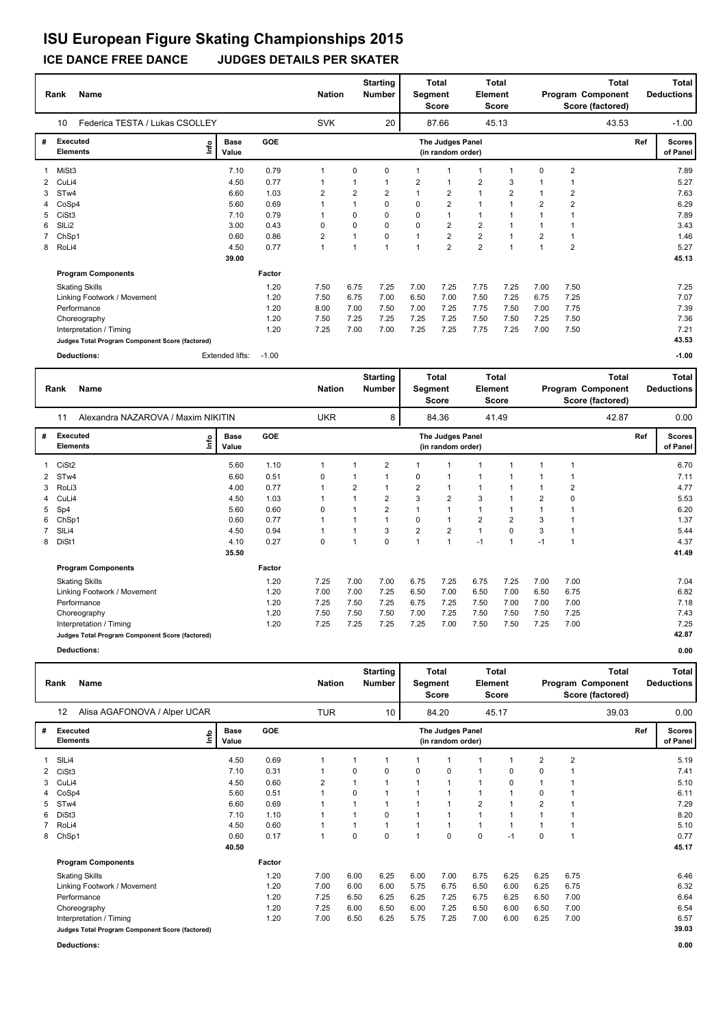### **ICE DANCE FREE DANCE JUDGES DETAILS PER SKATER ISU European Figure Skating Championships 2015**

#### **Rank Name Total Nation** Number | Segment Element Program Component Deductions **Total Segment Score Total Element Score Total Score (factored) Starting Number** Federica TESTA / Lukas CSOLLEY SVK 20 87.66 45.13 **# Executed Elements Base Value GOE Scores The Judges Panel of Panel** 1 7.10 0.79 1 0 0 1 1 1 1 0 2 **Ref**  7.89 10 **(in random order)** 43.53 MiSt3 **Info** 20 87.66 45.13 43.53 -1.00 2 CuLi4 4.50 0.77 1 1 1 2 1 2 3 1 1 5.27 3 STw4 6.60 1.03 2 2 2 1 2 1 2 1 2 7.63 4 CoSp4 5.60 0.69 1 1 0 0 2 1 1 2 2 6.29 5 CiSt3 7.10 0.79 1 0 0 0 1 1 1 1 1 7.89 6 SlLi2 3.00 0.43 0 0 0 0 2 2 1 1 1 3.43 7 ChSp1 0.60 0.86 2 1 0 1 2 2 1 2 1 1.46 8 RoLi4 4.50 0.77 1 1 1 1 2 2 1 1 2 5.27  **39.00 Program Components**  Skating Skills 7.50 6.75 7.25 7.00 7.25 7.75 7.25 7.00 7.50 **Factor** 1.20 7.50 6.75 7.25 7.00 7.25 7.75 7.25 7.00 7.50 7.25 7.25  **45.13** Linking Footwork / Movement 1.20 1.20 7.50 6.75 7.00 6.50 7.00 7.50 7.25 6.75 7.25 7.07 7.50 7.25 7.25 7.39 Performance 1.20 8.00 7.00 7.50 7.00 7.25 7.75 7.50 7.00 7.75 7.39 Choreography 1.20 7.50 7.25 7.25 7.25 7.25 7.50 7.50 7.25 7.50 7.36 Interpretation / Timing 1.20 7.25 7.00 7.00 7.25 7.25 7.75 7.25 7.00 7.50 7.21 **Judges Total Program Component Score (factored) 43.53 Deductions:** Extended lifts: -1.00 **-1.00**

| Rank                 | <b>Name</b>                                     |                      |            | <b>Nation</b> |                | <b>Starting</b><br>Number | Segment        | Total<br><b>Score</b>                 | Element        | <b>Total</b><br><b>Score</b> |                |          | <b>Total</b><br>Program Component<br>Score (factored) |     | <b>Total</b><br><b>Deductions</b> |
|----------------------|-------------------------------------------------|----------------------|------------|---------------|----------------|---------------------------|----------------|---------------------------------------|----------------|------------------------------|----------------|----------|-------------------------------------------------------|-----|-----------------------------------|
| 11                   | Alexandra NAZAROVA / Maxim NIKITIN              |                      |            | <b>UKR</b>    |                | 8                         |                | 84.36                                 |                | 41.49                        |                |          | 42.87                                                 |     | 0.00                              |
| #                    | <b>Executed</b><br>١nfo<br><b>Elements</b>      | <b>Base</b><br>Value | <b>GOE</b> |               |                |                           |                | The Judges Panel<br>(in random order) |                |                              |                |          |                                                       | Ref | <b>Scores</b><br>of Panel         |
|                      | CiSt <sub>2</sub>                               | 5.60                 | 1.10       |               |                | $\overline{2}$            |                |                                       |                |                              |                |          |                                                       |     | 6.70                              |
| STw4<br>$\mathbf{2}$ |                                                 | 6.60                 | 0.51       | 0             |                |                           | $\Omega$       |                                       |                |                              |                |          |                                                       |     | 7.11                              |
| 3                    | RoLi3                                           | 4.00                 | 0.77       |               | 2              |                           | 2              |                                       |                |                              |                | 2        |                                                       |     | 4.77                              |
| 4                    | CuLi4                                           | 4.50                 | 1.03       |               |                | $\overline{2}$            | 3              | $\overline{2}$                        | 3              |                              | $\overline{2}$ | $\Omega$ |                                                       |     | 5.53                              |
| Sp4<br>5             |                                                 | 5.60                 | 0.60       | 0             |                | $\overline{2}$            |                |                                       |                |                              |                |          |                                                       |     | 6.20                              |
| 6                    | ChSp1                                           | 0.60                 | 0.77       |               |                | $\overline{ }$            | $\Omega$       |                                       | $\overline{2}$ | $\overline{2}$               | 3              |          |                                                       |     | 1.37                              |
| SILi4                |                                                 | 4.50                 | 0.94       |               |                | 3                         | $\overline{2}$ | $\overline{2}$                        | $\mathbf{1}$   | $\mathbf 0$                  | 3              |          |                                                       |     | 5.44                              |
| DiSt1<br>8           |                                                 | 4.10                 | 0.27       | 0             | $\overline{1}$ | $\Omega$                  |                |                                       | $-1$           | 1                            | $-1$           |          |                                                       |     | 4.37                              |
|                      |                                                 | 35.50                |            |               |                |                           |                |                                       |                |                              |                |          |                                                       |     | 41.49                             |
|                      | <b>Program Components</b>                       |                      | Factor     |               |                |                           |                |                                       |                |                              |                |          |                                                       |     |                                   |
|                      | <b>Skating Skills</b>                           |                      | 1.20       | 7.25          | 7.00           | 7.00                      | 6.75           | 7.25                                  | 6.75           | 7.25                         | 7.00           | 7.00     |                                                       |     | 7.04                              |
|                      | Linking Footwork / Movement                     |                      | 1.20       | 7.00          | 7.00           | 7.25                      | 6.50           | 7.00                                  | 6.50           | 7.00                         | 6.50           | 6.75     |                                                       |     | 6.82                              |
|                      | Performance                                     |                      | 1.20       | 7.25          | 7.50           | 7.25                      | 6.75           | 7.25                                  | 7.50           | 7.00                         | 7.00           | 7.00     |                                                       |     | 7.18                              |
|                      | Choreography                                    |                      | 1.20       | 7.50          | 7.50           | 7.50                      | 7.00           | 7.25                                  | 7.50           | 7.50                         | 7.50           | 7.25     |                                                       |     | 7.43                              |
|                      | Interpretation / Timing                         |                      | 1.20       | 7.25          | 7.25           | 7.25                      | 7.25           | 7.00                                  | 7.50           | 7.50                         | 7.25           | 7.00     |                                                       |     | 7.25                              |
|                      | Judges Total Program Component Score (factored) |                      |            |               |                |                           |                |                                       |                |                              |                |          |                                                       |     | 42.87                             |

**Deductions: 0.00**

|   | <b>Name</b><br>Rank                             |      |                      |            | <b>Nation</b>  |      | <b>Starting</b><br><b>Number</b> |      | Total<br>Segment<br><b>Score</b>      | <b>Element</b> | Total<br><b>Score</b> |                |                | <b>Total</b><br>Program Component<br>Score (factored) |     | Total<br><b>Deductions</b> |
|---|-------------------------------------------------|------|----------------------|------------|----------------|------|----------------------------------|------|---------------------------------------|----------------|-----------------------|----------------|----------------|-------------------------------------------------------|-----|----------------------------|
|   | Alisa AGAFONOVA / Alper UCAR<br>12              |      |                      |            | <b>TUR</b>     |      | 10 <sup>°</sup>                  |      | 84.20                                 |                | 45.17                 |                |                | 39.03                                                 |     | 0.00                       |
| # | <b>Executed</b><br><b>Elements</b>              | Life | <b>Base</b><br>Value | <b>GOE</b> |                |      |                                  |      | The Judges Panel<br>(in random order) |                |                       |                |                |                                                       | Ref | <b>Scores</b><br>of Panel  |
|   | SILi4                                           |      | 4.50                 | 0.69       | 1              |      | 1                                |      | $\mathbf 1$                           | 1              |                       | $\overline{2}$ | $\overline{2}$ |                                                       |     | 5.19                       |
| 2 | CiSt <sub>3</sub>                               |      | 7.10                 | 0.31       | 1              | 0    | 0                                | 0    | 0                                     | $\mathbf{1}$   | $\Omega$              | 0              |                |                                                       |     | 7.41                       |
| 3 | CuLi4                                           |      | 4.50                 | 0.60       | $\overline{2}$ |      |                                  |      | 1                                     | $\mathbf{1}$   | 0                     |                |                |                                                       |     | 5.10                       |
|   | CoSp4                                           |      | 5.60                 | 0.51       |                | 0    | 1                                |      | $\mathbf{1}$                          | $\mathbf{1}$   |                       | 0              | $\mathbf 1$    |                                                       |     | 6.11                       |
| 5 | ST <sub>w</sub> 4                               |      | 6.60                 | 0.69       |                |      | 1                                | 1    | 1                                     | $\overline{2}$ |                       | $\overline{2}$ | $\overline{1}$ |                                                       |     | 7.29                       |
| 6 | DiSt <sub>3</sub>                               |      | 7.10                 | 1.10       |                |      | 0                                |      | 1                                     | $\mathbf{1}$   |                       |                |                |                                                       |     | 8.20                       |
|   | RoLi4                                           |      | 4.50                 | 0.60       | 1              |      | $\mathbf{1}$                     | 1    | $\mathbf{1}$                          | $\mathbf{1}$   |                       | $\overline{1}$ | $\overline{1}$ |                                                       |     | 5.10                       |
| 8 | ChSp1                                           |      | 0.60                 | 0.17       | $\mathbf{1}$   | 0    | $\mathbf 0$                      | 1    | $\mathbf 0$                           | $\mathbf 0$    | $-1$                  | 0              | $\overline{1}$ |                                                       |     | 0.77                       |
|   |                                                 |      | 40.50                |            |                |      |                                  |      |                                       |                |                       |                |                |                                                       |     | 45.17                      |
|   | <b>Program Components</b>                       |      |                      | Factor     |                |      |                                  |      |                                       |                |                       |                |                |                                                       |     |                            |
|   | <b>Skating Skills</b>                           |      |                      | 1.20       | 7.00           | 6.00 | 6.25                             | 6.00 | 7.00                                  | 6.75           | 6.25                  | 6.25           | 6.75           |                                                       |     | 6.46                       |
|   | Linking Footwork / Movement                     |      |                      | 1.20       | 7.00           | 6.00 | 6.00                             | 5.75 | 6.75                                  | 6.50           | 6.00                  | 6.25           | 6.75           |                                                       |     | 6.32                       |
|   | Performance                                     |      |                      | 1.20       | 7.25           | 6.50 | 6.25                             | 6.25 | 7.25                                  | 6.75           | 6.25                  | 6.50           | 7.00           |                                                       |     | 6.64                       |
|   | Choreography                                    |      |                      | 1.20       | 7.25           | 6.00 | 6.50                             | 6.00 | 7.25                                  | 6.50           | 6.00                  | 6.50           | 7.00           |                                                       |     | 6.54                       |
|   | Interpretation / Timing                         |      |                      | 1.20       | 7.00           | 6.50 | 6.25                             | 5.75 | 7.25                                  | 7.00           | 6.00                  | 6.25           | 7.00           |                                                       |     | 6.57                       |
|   | Judges Total Program Component Score (factored) |      |                      |            |                |      |                                  |      |                                       |                |                       |                |                |                                                       |     | 39.03                      |
|   | <b>Deductions:</b>                              |      |                      |            |                |      |                                  |      |                                       |                |                       |                |                |                                                       |     | 0.00                       |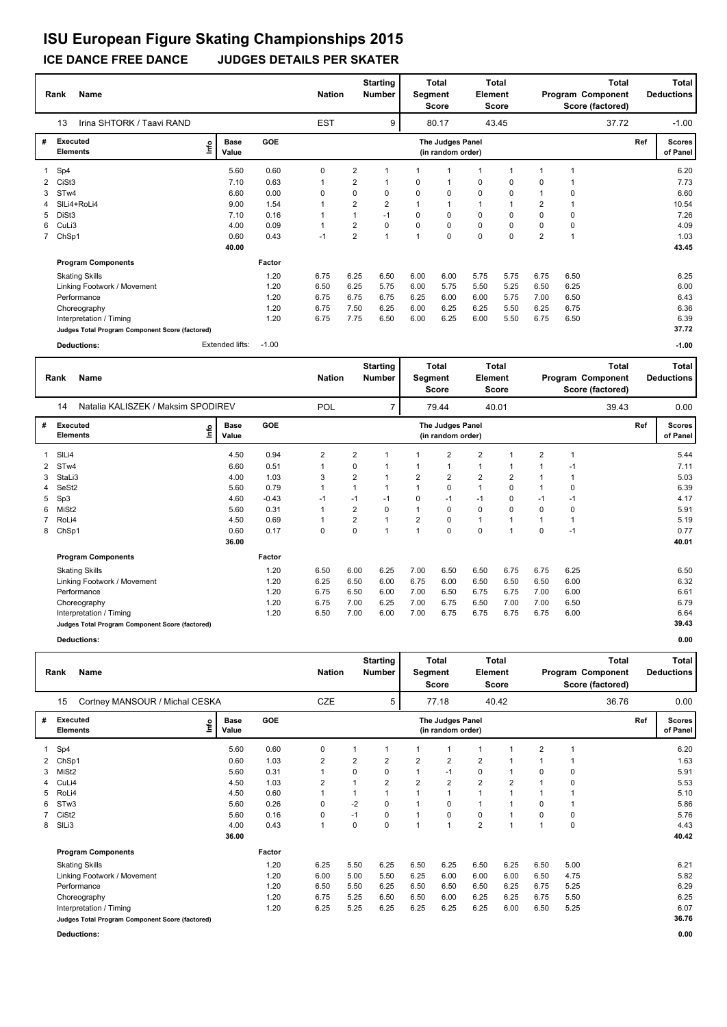## **ICE DANCE FREE DANCE JUDGES DETAILS PER SKATER**

|    | <b>Name</b><br>Rank                             |                              |            | <b>Nation</b> |                | <b>Starting</b><br><b>Number</b> | Segment        | <b>Total</b><br>Score                 | Element      | <b>Total</b><br>Score |                |                | <b>Total</b><br>Program Component<br>Score (factored) |     | Total<br><b>Deductions</b> |
|----|-------------------------------------------------|------------------------------|------------|---------------|----------------|----------------------------------|----------------|---------------------------------------|--------------|-----------------------|----------------|----------------|-------------------------------------------------------|-----|----------------------------|
|    | 13<br>Irina SHTORK / Taavi RAND                 |                              |            | <b>EST</b>    |                | 9                                |                | 80.17                                 |              | 43.45                 |                |                | 37.72                                                 |     | $-1.00$                    |
| #  | Executed<br><b>Elements</b>                     | <b>Base</b><br>١nf٥<br>Value | <b>GOE</b> |               |                |                                  |                | The Judges Panel<br>(in random order) |              |                       |                |                |                                                       | Ref | <b>Scores</b><br>of Panel  |
|    | 1 Sp4                                           | 5.60                         | 0.60       | 0             | $\overline{2}$ |                                  |                |                                       |              |                       |                |                |                                                       |     | 6.20                       |
| 2  | CiSt3                                           | 7.10                         | 0.63       | 1             | 2              |                                  | 0              | $\mathbf 1$                           | 0            | 0                     | 0              |                |                                                       |     | 7.73                       |
| 3  | STw4                                            | 6.60                         | 0.00       | 0             | 0              | 0                                | 0              | 0                                     | $\mathbf 0$  | 0                     |                | 0              |                                                       |     | 6.60                       |
|    | SILi4+RoLi4                                     | 9.00                         | 1.54       | 1             | $\overline{2}$ | $\overline{2}$                   |                | $\mathbf{1}$                          | $\mathbf{1}$ | 1                     | $\overline{2}$ |                |                                                       |     | 10.54                      |
| 5. | DiSt3                                           | 7.10                         | 0.16       | 1             |                | $-1$                             | 0              | 0                                     | 0            | 0                     | 0              | 0              |                                                       |     | 7.26                       |
|    | 6 CuLi3                                         | 4.00                         | 0.09       | 1             | 2              | 0                                | 0              | 0                                     | 0            | 0                     | 0              | 0              |                                                       |     | 4.09                       |
|    | 7 ChSp1                                         | 0.60                         | 0.43       | $-1$          | $\overline{2}$ | 1                                | $\overline{1}$ | $\mathbf 0$                           | $\mathbf 0$  | $\Omega$              | $\overline{2}$ | $\overline{1}$ |                                                       |     | 1.03                       |
|    |                                                 | 40.00                        |            |               |                |                                  |                |                                       |              |                       |                |                |                                                       |     | 43.45                      |
|    | <b>Program Components</b>                       |                              | Factor     |               |                |                                  |                |                                       |              |                       |                |                |                                                       |     |                            |
|    | <b>Skating Skills</b>                           |                              | 1.20       | 6.75          | 6.25           | 6.50                             | 6.00           | 6.00                                  | 5.75         | 5.75                  | 6.75           | 6.50           |                                                       |     | 6.25                       |
|    | Linking Footwork / Movement                     |                              | 1.20       | 6.50          | 6.25           | 5.75                             | 6.00           | 5.75                                  | 5.50         | 5.25                  | 6.50           | 6.25           |                                                       |     | 6.00                       |
|    | Performance                                     |                              | 1.20       | 6.75          | 6.75           | 6.75                             | 6.25           | 6.00                                  | 6.00         | 5.75                  | 7.00           | 6.50           |                                                       |     | 6.43                       |
|    | Choreography                                    |                              | 1.20       | 6.75          | 7.50           | 6.25                             | 6.00           | 6.25                                  | 6.25         | 5.50                  | 6.25           | 6.75           |                                                       |     | 6.36                       |
|    | Interpretation / Timing                         |                              | 1.20       | 6.75          | 7.75           | 6.50                             | 6.00           | 6.25                                  | 6.00         | 5.50                  | 6.75           | 6.50           |                                                       |     | 6.39                       |
|    | Judges Total Program Component Score (factored) |                              |            |               |                |                                  |                |                                       |              |                       |                |                |                                                       |     | 37.72                      |
|    | Deductions:                                     | Extended lifts:              | $-1.00$    |               |                |                                  |                |                                       |              |                       |                |                |                                                       |     | $-1.00$                    |

| <b>Name</b><br>Rank |                                                 |                              |            |                | <b>Starting</b><br><b>Nation</b><br><b>Number</b> |                |                | <b>Total</b><br>Total<br>Segment<br>Element<br><b>Score</b><br><b>Score</b> |                |       | Total<br>Program Component<br>Score (factored) |      |       |     | <b>Total</b><br><b>Deductions</b> |  |
|---------------------|-------------------------------------------------|------------------------------|------------|----------------|---------------------------------------------------|----------------|----------------|-----------------------------------------------------------------------------|----------------|-------|------------------------------------------------|------|-------|-----|-----------------------------------|--|
|                     | Natalia KALISZEK / Maksim SPODIREV<br>14        |                              |            | <b>POL</b>     |                                                   | $\overline{7}$ |                | 79.44                                                                       |                | 40.01 |                                                |      | 39.43 |     | 0.00                              |  |
| #                   | Executed<br><b>Elements</b>                     | <b>Base</b><br>١nf٥<br>Value | <b>GOE</b> |                |                                                   |                |                | The Judges Panel<br>(in random order)                                       |                |       |                                                |      |       | Ref | <b>Scores</b><br>of Panel         |  |
| 1                   | SILi4                                           | 4.50                         | 0.94       | $\overline{2}$ | $\overline{\mathbf{c}}$                           |                |                | $\overline{2}$                                                              | $\overline{2}$ |       | $\overline{2}$                                 |      |       |     | 5.44                              |  |
| $\overline{2}$      | STw4                                            | 6.60                         | 0.51       |                | 0                                                 |                |                |                                                                             |                |       |                                                | $-1$ |       |     | 7.11                              |  |
| 3                   | StaLi3                                          | 4.00                         | 1.03       | 3              | $\overline{2}$                                    |                | 2              | $\overline{\mathbf{c}}$                                                     | $\overline{2}$ | 2     |                                                |      |       |     | 5.03                              |  |
|                     | 4 SeSt2                                         | 5.60                         | 0.79       |                | 1                                                 |                |                | 0                                                                           |                | 0     |                                                | 0    |       |     | 6.39                              |  |
| 5                   | Sp3                                             | 4.60                         | $-0.43$    | $-1$           | $-1$                                              | $-1$           | $\Omega$       | $-1$                                                                        | $-1$           | 0     | $-1$                                           | $-1$ |       |     | 4.17                              |  |
| 6                   | MiSt <sub>2</sub>                               | 5.60                         | 0.31       |                | $\overline{2}$                                    | 0              |                | 0                                                                           | 0              | 0     | 0                                              | 0    |       |     | 5.91                              |  |
|                     | RoLi4                                           | 4.50                         | 0.69       |                | $\overline{2}$                                    |                | $\overline{2}$ | 0                                                                           | 1              |       |                                                |      |       |     | 5.19                              |  |
|                     | 8 ChSp1                                         | 0.60                         | 0.17       | 0              | 0                                                 |                | 1              | 0                                                                           | 0              |       | $\Omega$                                       | $-1$ |       |     | 0.77                              |  |
|                     |                                                 | 36.00                        |            |                |                                                   |                |                |                                                                             |                |       |                                                |      |       |     | 40.01                             |  |
|                     | <b>Program Components</b>                       |                              | Factor     |                |                                                   |                |                |                                                                             |                |       |                                                |      |       |     |                                   |  |
|                     | <b>Skating Skills</b>                           |                              | 1.20       | 6.50           | 6.00                                              | 6.25           | 7.00           | 6.50                                                                        | 6.50           | 6.75  | 6.75                                           | 6.25 |       |     | 6.50                              |  |
|                     | Linking Footwork / Movement                     |                              | 1.20       | 6.25           | 6.50                                              | 6.00           | 6.75           | 6.00                                                                        | 6.50           | 6.50  | 6.50                                           | 6.00 |       |     | 6.32                              |  |
|                     | Performance                                     |                              | 1.20       | 6.75           | 6.50                                              | 6.00           | 7.00           | 6.50                                                                        | 6.75           | 6.75  | 7.00                                           | 6.00 |       |     | 6.61                              |  |
|                     | Choreography                                    |                              | 1.20       | 6.75           | 7.00                                              | 6.25           | 7.00           | 6.75                                                                        | 6.50           | 7.00  | 7.00                                           | 6.50 |       |     | 6.79                              |  |
|                     | Interpretation / Timing                         |                              | 1.20       | 6.50           | 7.00                                              | 6.00           | 7.00           | 6.75                                                                        | 6.75           | 6.75  | 6.75                                           | 6.00 |       |     | 6.64                              |  |
|                     | Judges Total Program Component Score (factored) |                              |            |                |                                                   |                |                |                                                                             |                |       |                                                |      |       |     | 39.43                             |  |

**Deductions: 0.00**

|   | Name<br>Rank                                    |     |                      |            | <b>Nation</b>  |                | <b>Starting</b><br><b>Number</b> |                | Total<br>Segment<br><b>Score</b>      | Element                 | Total<br>Score |      | <b>Total</b><br>Program Component<br>Score (factored) |       |     | Total<br><b>Deductions</b> |
|---|-------------------------------------------------|-----|----------------------|------------|----------------|----------------|----------------------------------|----------------|---------------------------------------|-------------------------|----------------|------|-------------------------------------------------------|-------|-----|----------------------------|
|   | Cortney MANSOUR / Michal CESKA<br>15            |     |                      |            | CZE            |                | 5                                |                | 77.18                                 |                         | 40.42          |      |                                                       | 36.76 |     | 0.00                       |
| # | Executed<br><b>Elements</b>                     | ١m٥ | <b>Base</b><br>Value | <b>GOE</b> |                |                |                                  |                | The Judges Panel<br>(in random order) |                         |                |      |                                                       |       | Ref | <b>Scores</b><br>of Panel  |
|   | 1 Sp4                                           |     | 5.60                 | 0.60       | 0              | 1              |                                  |                |                                       |                         | 1              | 2    |                                                       |       |     | 6.20                       |
|   | 2 ChSp1                                         |     | 0.60                 | 1.03       | $\overline{2}$ | $\overline{2}$ | $\overline{2}$                   | $\overline{2}$ | $\overline{\mathbf{c}}$               | $\overline{\mathbf{c}}$ | 1              |      |                                                       |       |     | 1.63                       |
| 3 | MiSt2                                           |     | 5.60                 | 0.31       | $\mathbf{1}$   | 0              | 0                                |                | $-1$                                  | 0                       | 1              | 0    | 0                                                     |       |     | 5.91                       |
| 4 | CuLi4                                           |     | 4.50                 | 1.03       | $\overline{2}$ |                | $\overline{2}$                   | $\overline{2}$ | $\overline{2}$                        | $\overline{2}$          | $\overline{2}$ |      | 0                                                     |       |     | 5.53                       |
| 5 | RoLi4                                           |     | 4.50                 | 0.60       | 1              | 1              |                                  |                | 1                                     | $\overline{1}$          |                |      |                                                       |       |     | 5.10                       |
| 6 | ST <sub>w</sub> 3                               |     | 5.60                 | 0.26       | 0              | $-2$           | 0                                |                | 0                                     | 1                       | 1              | 0    | 1                                                     |       |     | 5.86                       |
|   | CiSt <sub>2</sub>                               |     | 5.60                 | 0.16       | 0              | $-1$           | 0                                |                | 0                                     | 0                       | 1              | 0    | 0                                                     |       |     | 5.76                       |
| 8 | SILi3                                           |     | 4.00                 | 0.43       | 1              | 0              | 0                                |                | 1                                     | $\overline{2}$          | $\mathbf 1$    |      | 0                                                     |       |     | 4.43                       |
|   |                                                 |     | 36.00                |            |                |                |                                  |                |                                       |                         |                |      |                                                       |       |     | 40.42                      |
|   | <b>Program Components</b>                       |     |                      | Factor     |                |                |                                  |                |                                       |                         |                |      |                                                       |       |     |                            |
|   | <b>Skating Skills</b>                           |     |                      | 1.20       | 6.25           | 5.50           | 6.25                             | 6.50           | 6.25                                  | 6.50                    | 6.25           | 6.50 | 5.00                                                  |       |     | 6.21                       |
|   | Linking Footwork / Movement                     |     |                      | 1.20       | 6.00           | 5.00           | 5.50                             | 6.25           | 6.00                                  | 6.00                    | 6.00           | 6.50 | 4.75                                                  |       |     | 5.82                       |
|   | Performance                                     |     |                      | 1.20       | 6.50           | 5.50           | 6.25                             | 6.50           | 6.50                                  | 6.50                    | 6.25           | 6.75 | 5.25                                                  |       |     | 6.29                       |
|   | Choreography                                    |     |                      | 1.20       | 6.75           | 5.25           | 6.50                             | 6.50           | 6.00                                  | 6.25                    | 6.25           | 6.75 | 5.50                                                  |       |     | 6.25                       |
|   | Interpretation / Timing                         |     |                      | 1.20       | 6.25           | 5.25           | 6.25                             | 6.25           | 6.25                                  | 6.25                    | 6.00           | 6.50 | 5.25                                                  |       |     | 6.07                       |
|   | Judges Total Program Component Score (factored) |     |                      |            |                |                |                                  |                |                                       |                         |                |      |                                                       |       |     | 36.76                      |

**Deductions: 0.00**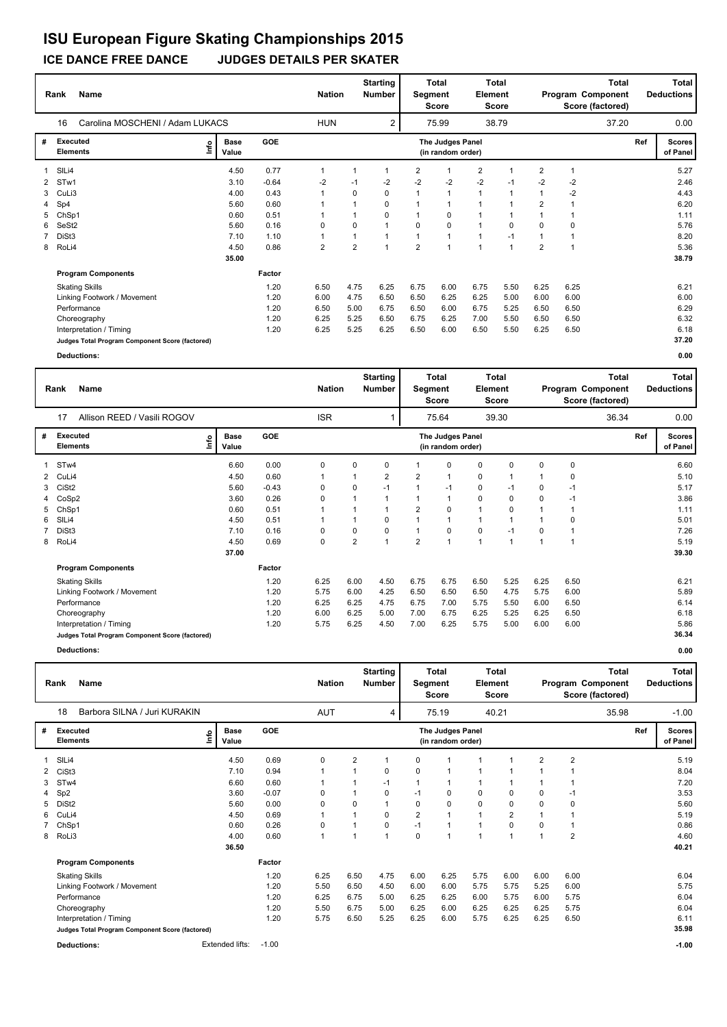### **ICE DANCE FREE DANCE JUDGES DETAILS PER SKATER**

|              | <b>Name</b><br>Rank                             |      |                      |            |            | <b>Starting</b><br><b>Nation</b><br><b>Number</b> |                |                |                                       | <b>Total</b><br><b>Total</b><br>Segment<br>Element<br><b>Score</b><br><b>Score</b> |                |                | Program Component<br>Score (factored) |       | Total<br><b>Deductions</b> |                           |
|--------------|-------------------------------------------------|------|----------------------|------------|------------|---------------------------------------------------|----------------|----------------|---------------------------------------|------------------------------------------------------------------------------------|----------------|----------------|---------------------------------------|-------|----------------------------|---------------------------|
|              | Carolina MOSCHENI / Adam LUKACS<br>16           |      |                      |            | <b>HUN</b> |                                                   | $\overline{2}$ |                | 75.99                                 |                                                                                    | 38.79          |                |                                       | 37.20 |                            | 0.00                      |
| #            | Executed<br><b>Elements</b>                     | ١nf٥ | <b>Base</b><br>Value | <b>GOE</b> |            |                                                   |                |                | The Judges Panel<br>(in random order) |                                                                                    |                |                |                                       |       | Ref                        | <b>Scores</b><br>of Panel |
|              | SIL <sub>i4</sub>                               |      | 4.50                 | 0.77       | 1          |                                                   | 1              | $\overline{2}$ | -1                                    | $\overline{2}$                                                                     |                | $\overline{2}$ |                                       |       |                            | 5.27                      |
| $\mathbf{2}$ | STw1                                            |      | 3.10                 | $-0.64$    | $-2$       | $-1$                                              | $-2$           | $-2$           | $-2$                                  | $-2$                                                                               | $-1$           | $-2$           | $-2$                                  |       |                            | 2.46                      |
| 3            | CuLi3                                           |      | 4.00                 | 0.43       | 1          | 0                                                 | 0              | $\mathbf{1}$   | $\mathbf{1}$                          | 1                                                                                  |                | $\mathbf{1}$   | $-2$                                  |       |                            | 4.43                      |
| 4            | Sp4                                             |      | 5.60                 | 0.60       |            |                                                   | 0              |                |                                       |                                                                                    |                | $\overline{2}$ |                                       |       |                            | 6.20                      |
|              | ChSp1                                           |      | 0.60                 | 0.51       |            |                                                   | 0              |                | 0                                     |                                                                                    |                |                |                                       |       |                            | 1.11                      |
| 6            | SeSt2                                           |      | 5.60                 | 0.16       | 0          | 0                                                 |                | 0              | $\mathbf 0$                           |                                                                                    | $\mathbf 0$    | $\Omega$       | 0                                     |       |                            | 5.76                      |
|              | DiSt3                                           |      | 7.10                 | 1.10       | 1          |                                                   |                |                | $\overline{1}$                        | $\overline{1}$                                                                     | $-1$           |                |                                       |       |                            | 8.20                      |
|              | 8 RoLi4                                         |      | 4.50                 | 0.86       | 2          | $\overline{2}$                                    | 1              | $\overline{2}$ | $\overline{1}$                        | $\mathbf{1}$                                                                       | $\overline{1}$ | $\overline{2}$ |                                       |       |                            | 5.36                      |
|              |                                                 |      | 35.00                |            |            |                                                   |                |                |                                       |                                                                                    |                |                |                                       |       |                            | 38.79                     |
|              | <b>Program Components</b>                       |      |                      | Factor     |            |                                                   |                |                |                                       |                                                                                    |                |                |                                       |       |                            |                           |
|              | <b>Skating Skills</b>                           |      |                      | 1.20       | 6.50       | 4.75                                              | 6.25           | 6.75           | 6.00                                  | 6.75                                                                               | 5.50           | 6.25           | 6.25                                  |       |                            | 6.21                      |
|              | Linking Footwork / Movement                     |      |                      | 1.20       | 6.00       | 4.75                                              | 6.50           | 6.50           | 6.25                                  | 6.25                                                                               | 5.00           | 6.00           | 6.00                                  |       |                            | 6.00                      |
|              | Performance                                     |      |                      | 1.20       | 6.50       | 5.00                                              | 6.75           | 6.50           | 6.00                                  | 6.75                                                                               | 5.25           | 6.50           | 6.50                                  |       |                            | 6.29                      |
|              | Choreography                                    |      |                      | 1.20       | 6.25       | 5.25                                              | 6.50           | 6.75           | 6.25                                  | 7.00                                                                               | 5.50           | 6.50           | 6.50                                  |       |                            | 6.32                      |
|              | Interpretation / Timing                         |      |                      | 1.20       | 6.25       | 5.25                                              | 6.25           | 6.50           | 6.00                                  | 6.50                                                                               | 5.50           | 6.25           | 6.50                                  |       |                            | 6.18                      |
|              | Judges Total Program Component Score (factored) |      |                      |            |            |                                                   |                |                |                                       |                                                                                    |                |                |                                       |       |                            | 37.20                     |
|              | <b>Deductions:</b>                              |      |                      |            |            |                                                   |                |                |                                       |                                                                                    |                |                |                                       |       |                            | 0.00                      |

|   | <b>Name</b><br>Rank                             |                              |            | <b>Nation</b> |                | <b>Starting</b><br>Number | Segment        | Total<br><b>Score</b>                 | Element      | <b>Total</b><br><b>Score</b> |      |      | <b>Total</b><br>Program Component<br>Score (factored) |     | <b>Total</b><br><b>Deductions</b> |
|---|-------------------------------------------------|------------------------------|------------|---------------|----------------|---------------------------|----------------|---------------------------------------|--------------|------------------------------|------|------|-------------------------------------------------------|-----|-----------------------------------|
|   | Allison REED / Vasili ROGOV<br>17               |                              |            | <b>ISR</b>    |                |                           |                | 75.64                                 |              | 39.30                        |      |      | 36.34                                                 |     | 0.00                              |
| # | Executed<br><b>Elements</b>                     | <b>Base</b><br>١nfo<br>Value | <b>GOE</b> |               |                |                           |                | The Judges Panel<br>(in random order) |              |                              |      |      |                                                       | Ref | <b>Scores</b><br>of Panel         |
|   | STw4                                            | 6.60                         | 0.00       | 0             | 0              | 0                         |                | $\Omega$                              | 0            | 0                            | 0    | 0    |                                                       |     | 6.60                              |
|   | 2 CuLi4                                         | 4.50                         | 0.60       |               |                | 2                         | 2              |                                       | 0            |                              |      | 0    |                                                       |     | 5.10                              |
| 3 | CiSt <sub>2</sub>                               | 5.60                         | $-0.43$    | 0             | 0              | $-1$                      |                | $-1$                                  | 0            | $-1$                         | 0    | $-1$ |                                                       |     | 5.17                              |
|   | CoSp2                                           | 3.60                         | 0.26       | 0             | $\overline{1}$ | 1                         |                |                                       | 0            | 0                            | 0    | $-1$ |                                                       |     | 3.86                              |
| 5 | ChSp1                                           | 0.60                         | 0.51       |               |                | 1                         | 2              | $\Omega$                              |              | 0                            |      |      |                                                       |     | 1.11                              |
| 6 | SILi4                                           | 4.50                         | 0.51       |               |                | $\Omega$                  |                |                                       |              |                              |      | 0    |                                                       |     | 5.01                              |
|   | DiSt3                                           | 7.10                         | 0.16       | 0             | 0              | 0                         |                | 0                                     | $\mathbf 0$  | $-1$                         | 0    |      |                                                       |     | 7.26                              |
| 8 | RoLi4                                           | 4.50                         | 0.69       | 0             | $\overline{2}$ | $\mathbf{1}$              | $\overline{2}$ |                                       | $\mathbf{1}$ | 1                            |      |      |                                                       |     | 5.19                              |
|   |                                                 | 37.00                        |            |               |                |                           |                |                                       |              |                              |      |      |                                                       |     | 39.30                             |
|   | <b>Program Components</b>                       |                              | Factor     |               |                |                           |                |                                       |              |                              |      |      |                                                       |     |                                   |
|   | <b>Skating Skills</b>                           |                              | 1.20       | 6.25          | 6.00           | 4.50                      | 6.75           | 6.75                                  | 6.50         | 5.25                         | 6.25 | 6.50 |                                                       |     | 6.21                              |
|   | Linking Footwork / Movement                     |                              | 1.20       | 5.75          | 6.00           | 4.25                      | 6.50           | 6.50                                  | 6.50         | 4.75                         | 5.75 | 6.00 |                                                       |     | 5.89                              |
|   | Performance                                     |                              | 1.20       | 6.25          | 6.25           | 4.75                      | 6.75           | 7.00                                  | 5.75         | 5.50                         | 6.00 | 6.50 |                                                       |     | 6.14                              |
|   | Choreography                                    |                              | 1.20       | 6.00          | 6.25           | 5.00                      | 7.00           | 6.75                                  | 6.25         | 5.25                         | 6.25 | 6.50 |                                                       |     | 6.18                              |
|   | Interpretation / Timing                         |                              | 1.20       | 5.75          | 6.25           | 4.50                      | 7.00           | 6.25                                  | 5.75         | 5.00                         | 6.00 | 6.00 |                                                       |     | 5.86                              |
|   | Judges Total Program Component Score (factored) |                              |            |               |                |                           |                |                                       |              |                              |      |      |                                                       |     | 36.34                             |

**Deductions: 0.00**

|   | Rank                               | <b>Name</b>                                     |      |                      |            | <b>Nation</b> |                | <b>Starting</b><br><b>Number</b> |          | <b>Total</b><br>Segment<br><b>Score</b> | Element      | <b>Total</b><br>Score |                |                | <b>Total</b><br>Program Component<br>Score (factored) |     | Total<br><b>Deductions</b> |
|---|------------------------------------|-------------------------------------------------|------|----------------------|------------|---------------|----------------|----------------------------------|----------|-----------------------------------------|--------------|-----------------------|----------------|----------------|-------------------------------------------------------|-----|----------------------------|
|   | 18                                 | Barbora SILNA / Juri KURAKIN                    |      |                      |            | <b>AUT</b>    |                | 4                                |          | 75.19                                   |              | 40.21                 |                |                | 35.98                                                 |     | $-1.00$                    |
| # | <b>Executed</b><br><b>Elements</b> |                                                 | ١nfo | <b>Base</b><br>Value | <b>GOE</b> |               |                |                                  |          | The Judges Panel<br>(in random order)   |              |                       |                |                |                                                       | Ref | <b>Scores</b><br>of Panel  |
|   | SILi4                              |                                                 |      | 4.50                 | 0.69       | 0             | $\overline{2}$ | 1                                | 0        |                                         |              |                       | $\overline{2}$ | $\overline{2}$ |                                                       |     | 5.19                       |
| 2 | CiSt3                              |                                                 |      | 7.10                 | 0.94       |               |                | 0                                | $\Omega$ | -1                                      |              |                       |                |                |                                                       |     | 8.04                       |
| 3 | ST <sub>w</sub> 4                  |                                                 |      | 6.60                 | 0.60       |               |                | $-1$                             | 1        | $\mathbf{1}$                            |              |                       |                |                |                                                       |     | 7.20                       |
| 4 | Sp <sub>2</sub>                    |                                                 |      | 3.60                 | $-0.07$    | 0             |                | 0                                | $-1$     | 0                                       | 0            | 0                     | 0              | $-1$           |                                                       |     | 3.53                       |
| 5 | DiSt <sub>2</sub>                  |                                                 |      | 5.60                 | 0.00       | $\Omega$      | $\Omega$       | 1                                | 0        | 0                                       | 0            | $\Omega$              | $\Omega$       | 0              |                                                       |     | 5.60                       |
| 6 | CuLi4                              |                                                 |      | 4.50                 | 0.69       | 1             |                | 0                                | 2        | $\mathbf{1}$                            | $\mathbf{1}$ | 2                     |                |                |                                                       |     | 5.19                       |
|   | ChSp1                              |                                                 |      | 0.60                 | 0.26       | 0             |                | 0                                | $-1$     | $\mathbf{1}$                            | 1            | 0                     | $\mathbf 0$    | 1              |                                                       |     | 0.86                       |
| 8 | RoLi3                              |                                                 |      | 4.00                 | 0.60       | $\mathbf{1}$  | -1             | $\mathbf{1}$                     | 0        | $\mathbf{1}$                            | $\mathbf{1}$ | $\overline{1}$        | 1              | $\overline{2}$ |                                                       |     | 4.60                       |
|   |                                    |                                                 |      | 36.50                |            |               |                |                                  |          |                                         |              |                       |                |                |                                                       |     | 40.21                      |
|   |                                    | <b>Program Components</b>                       |      |                      | Factor     |               |                |                                  |          |                                         |              |                       |                |                |                                                       |     |                            |
|   |                                    | <b>Skating Skills</b>                           |      |                      | 1.20       | 6.25          | 6.50           | 4.75                             | 6.00     | 6.25                                    | 5.75         | 6.00                  | 6.00           | 6.00           |                                                       |     | 6.04                       |
|   |                                    | Linking Footwork / Movement                     |      |                      | 1.20       | 5.50          | 6.50           | 4.50                             | 6.00     | 6.00                                    | 5.75         | 5.75                  | 5.25           | 6.00           |                                                       |     | 5.75                       |
|   | Performance                        |                                                 |      |                      | 1.20       | 6.25          | 6.75           | 5.00                             | 6.25     | 6.25                                    | 6.00         | 5.75                  | 6.00           | 5.75           |                                                       |     | 6.04                       |
|   |                                    | Choreography                                    |      |                      | 1.20       | 5.50          | 6.75           | 5.00                             | 6.25     | 6.00                                    | 6.25         | 6.25                  | 6.25           | 5.75           |                                                       |     | 6.04                       |
|   |                                    | Interpretation / Timing                         |      |                      | 1.20       | 5.75          | 6.50           | 5.25                             | 6.25     | 6.00                                    | 5.75         | 6.25                  | 6.25           | 6.50           |                                                       |     | 6.11                       |
|   |                                    | Judges Total Program Component Score (factored) |      |                      |            |               |                |                                  |          |                                         |              |                       |                |                |                                                       |     | 35.98                      |
|   | <b>Deductions:</b>                 |                                                 |      | Extended lifts:      | $-1.00$    |               |                |                                  |          |                                         |              |                       |                |                |                                                       |     | $-1.00$                    |